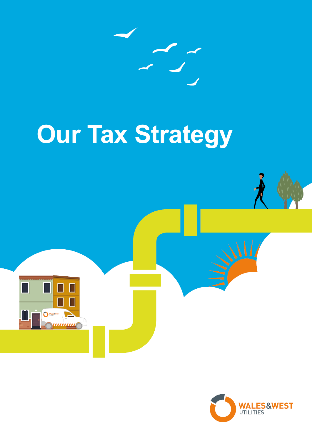

# **Our Tax Strategy**